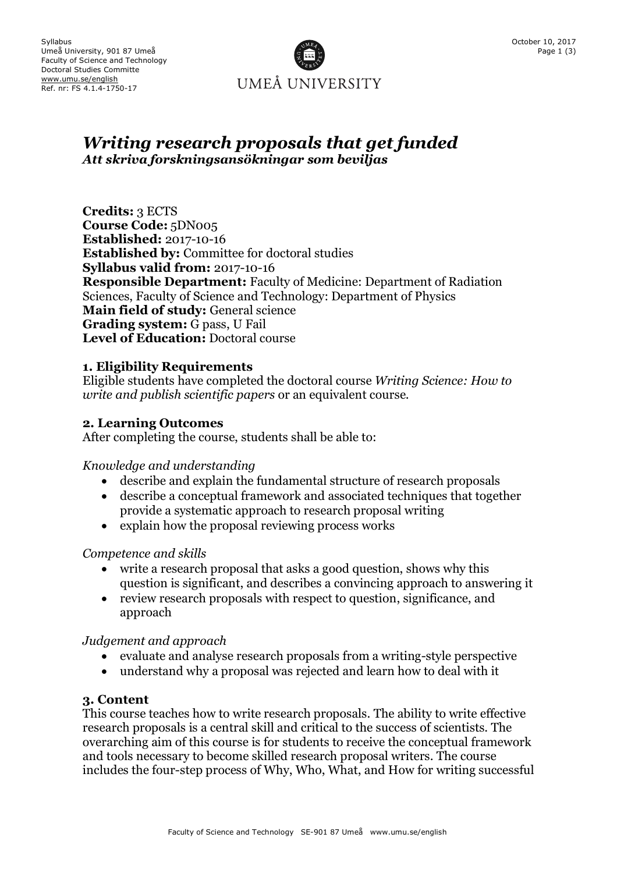

# *Writing research proposals that get funded Att skriva forskningsansökningar som beviljas*

**Credits:** 3 ECTS **Course Code:** 5DN005 **Established:** 2017-10-16 **Established by:** Committee for doctoral studies **Syllabus valid from:** 2017-10-16 **Responsible Department:** Faculty of Medicine: Department of Radiation Sciences, Faculty of Science and Technology: Department of Physics **Main field of study:** General science **Grading system:** G pass, U Fail **Level of Education:** Doctoral course

## **1. Eligibility Requirements**

Eligible students have completed the doctoral course *Writing Science: How to write and publish scientific papers* or an equivalent course.

#### **2. Learning Outcomes**

After completing the course, students shall be able to:

#### *Knowledge and understanding*

- describe and explain the fundamental structure of research proposals
- describe a conceptual framework and associated techniques that together provide a systematic approach to research proposal writing
- explain how the proposal reviewing process works

#### *Competence and skills*

- write a research proposal that asks a good question, shows why this question is significant, and describes a convincing approach to answering it
- review research proposals with respect to question, significance, and approach

#### *Judgement and approach*

- evaluate and analyse research proposals from a writing-style perspective
- understand why a proposal was rejected and learn how to deal with it

#### **3. Content**

This course teaches how to write research proposals. The ability to write effective research proposals is a central skill and critical to the success of scientists. The overarching aim of this course is for students to receive the conceptual framework and tools necessary to become skilled research proposal writers. The course includes the four-step process of Why, Who, What, and How for writing successful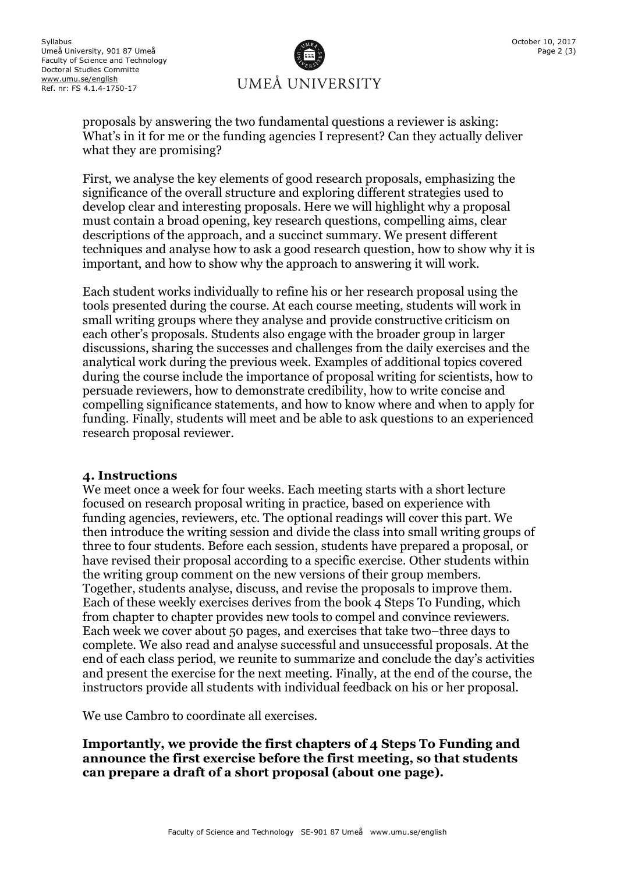

proposals by answering the two fundamental questions a reviewer is asking: What's in it for me or the funding agencies I represent? Can they actually deliver what they are promising?

First, we analyse the key elements of good research proposals, emphasizing the significance of the overall structure and exploring different strategies used to develop clear and interesting proposals. Here we will highlight why a proposal must contain a broad opening, key research questions, compelling aims, clear descriptions of the approach, and a succinct summary. We present different techniques and analyse how to ask a good research question, how to show why it is important, and how to show why the approach to answering it will work.

Each student works individually to refine his or her research proposal using the tools presented during the course. At each course meeting, students will work in small writing groups where they analyse and provide constructive criticism on each other's proposals. Students also engage with the broader group in larger discussions, sharing the successes and challenges from the daily exercises and the analytical work during the previous week. Examples of additional topics covered during the course include the importance of proposal writing for scientists, how to persuade reviewers, how to demonstrate credibility, how to write concise and compelling significance statements, and how to know where and when to apply for funding. Finally, students will meet and be able to ask questions to an experienced research proposal reviewer.

#### **4. Instructions**

We meet once a week for four weeks. Each meeting starts with a short lecture focused on research proposal writing in practice, based on experience with funding agencies, reviewers, etc. The optional readings will cover this part. We then introduce the writing session and divide the class into small writing groups of three to four students. Before each session, students have prepared a proposal, or have revised their proposal according to a specific exercise. Other students within the writing group comment on the new versions of their group members. Together, students analyse, discuss, and revise the proposals to improve them. Each of these weekly exercises derives from the book 4 Steps To Funding, which from chapter to chapter provides new tools to compel and convince reviewers. Each week we cover about 50 pages, and exercises that take two–three days to complete. We also read and analyse successful and unsuccessful proposals. At the end of each class period, we reunite to summarize and conclude the day's activities and present the exercise for the next meeting. Finally, at the end of the course, the instructors provide all students with individual feedback on his or her proposal.

We use Cambro to coordinate all exercises.

**Importantly, we provide the first chapters of 4 Steps To Funding and announce the first exercise before the first meeting, so that students can prepare a draft of a short proposal (about one page).**